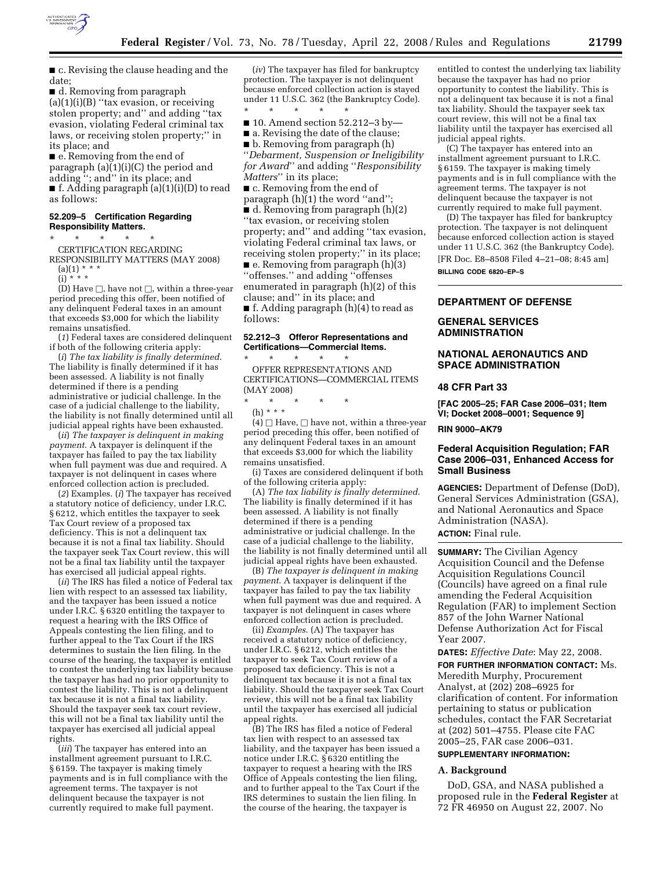

■ c. Revising the clause heading and the date;

■ d. Removing from paragraph  $(a)(1)(i)(B)$  "tax evasion, or receiving stolen property; and'' and adding ''tax evasion, violating Federal criminal tax laws, or receiving stolen property;'' in its place; and

■ e. Removing from the end of paragraph (a)(1)(i)(C) the period and adding ''; and'' in its place; and ■ f. Adding paragraph (a)(1)(i)(D) to read as follows:

### **52.209–5 Certification Regarding Responsibility Matters.**

\* \* \* \* \* CERTIFICATION REGARDING RESPONSIBILITY MATTERS (MAY 2008)

 $(a)(1) * * * *$  $(i) * * * *$ 

(D) Have  $\Box$ , have not  $\Box$ , within a three-year period preceding this offer, been notified of any delinquent Federal taxes in an amount that exceeds \$3,000 for which the liability remains unsatisfied.

(*1*) Federal taxes are considered delinquent if both of the following criteria apply:

(*i*) *The tax liability is finally determined*. The liability is finally determined if it has been assessed. A liability is not finally determined if there is a pending administrative or judicial challenge. In the case of a judicial challenge to the liability, the liability is not finally determined until all judicial appeal rights have been exhausted.

(*ii*) *The taxpayer is delinquent in making payment*. A taxpayer is delinquent if the taxpayer has failed to pay the tax liability when full payment was due and required. A taxpayer is not delinquent in cases where enforced collection action is precluded.

(*2*) Examples. (*i*) The taxpayer has received a statutory notice of deficiency, under I.R.C. § 6212, which entitles the taxpayer to seek Tax Court review of a proposed tax deficiency. This is not a delinquent tax because it is not a final tax liability. Should the taxpayer seek Tax Court review, this will not be a final tax liability until the taxpayer has exercised all judicial appeal rights.

(*ii*) The IRS has filed a notice of Federal tax lien with respect to an assessed tax liability, and the taxpayer has been issued a notice under I.R.C. § 6320 entitling the taxpayer to request a hearing with the IRS Office of Appeals contesting the lien filing, and to further appeal to the Tax Court if the IRS determines to sustain the lien filing. In the course of the hearing, the taxpayer is entitled to contest the underlying tax liability because the taxpayer has had no prior opportunity to contest the liability. This is not a delinquent tax because it is not a final tax liability. Should the taxpayer seek tax court review, this will not be a final tax liability until the taxpayer has exercised all judicial appeal rights.

(*iii*) The taxpayer has entered into an installment agreement pursuant to I.R.C. § 6159. The taxpayer is making timely payments and is in full compliance with the agreement terms. The taxpayer is not delinquent because the taxpayer is not currently required to make full payment.

(*iv*) The taxpayer has filed for bankruptcy protection. The taxpayer is not delinquent because enforced collection action is stayed under 11 U.S.C. 362 (the Bankruptcy Code). \* \* \* \* \*

■ 10. Amend section 52.212–3 by—

■ a. Revising the date of the clause; ■ b. Removing from paragraph (h) ''*Debarment, Suspension or Ineligibility for Award*'' and adding ''*Responsibility Matters*'' in its place;

■ c. Removing from the end of paragraph (h)(1) the word ''and''; ■ d. Removing from paragraph (h)(2) ''tax evasion, or receiving stolen property; and'' and adding ''tax evasion, violating Federal criminal tax laws, or receiving stolen property;'' in its place;

 $\blacksquare$  e. Removing from paragraph (h)(3) ''offenses.'' and adding ''offenses enumerated in paragraph (h)(2) of this clause; and'' in its place; and ■ f. Adding paragraph (h)(4) to read as follows:

### **52.212–3 Offeror Representations and Certifications—Commercial Items.**

\* \* \* \* \* OFFER REPRESENTATIONS AND CERTIFICATIONS—COMMERCIAL ITEMS (MAY 2008)

### \* \* \* \* \*

(h) \* \* \*

 $(4)$   $\Box$  Have,  $\Box$  have not, within a three-year period preceding this offer, been notified of any delinquent Federal taxes in an amount that exceeds \$3,000 for which the liability remains unsatisfied.

(i) Taxes are considered delinquent if both of the following criteria apply:

(A) *The tax liability is finally determined*. The liability is finally determined if it has been assessed. A liability is not finally determined if there is a pending administrative or judicial challenge. In the case of a judicial challenge to the liability, the liability is not finally determined until all judicial appeal rights have been exhausted.

(B) *The taxpayer is delinquent in making payment*. A taxpayer is delinquent if the taxpayer has failed to pay the tax liability when full payment was due and required. A taxpayer is not delinquent in cases where enforced collection action is precluded.

(ii) *Examples*. (A) The taxpayer has received a statutory notice of deficiency, under I.R.C. § 6212, which entitles the taxpayer to seek Tax Court review of a proposed tax deficiency. This is not a delinquent tax because it is not a final tax liability. Should the taxpayer seek Tax Court review, this will not be a final tax liability until the taxpayer has exercised all judicial appeal rights.

(B) The IRS has filed a notice of Federal tax lien with respect to an assessed tax liability, and the taxpayer has been issued a notice under I.R.C. § 6320 entitling the taxpayer to request a hearing with the IRS Office of Appeals contesting the lien filing, and to further appeal to the Tax Court if the IRS determines to sustain the lien filing. In the course of the hearing, the taxpayer is

entitled to contest the underlying tax liability because the taxpayer has had no prior opportunity to contest the liability. This is not a delinquent tax because it is not a final tax liability. Should the taxpayer seek tax court review, this will not be a final tax liability until the taxpayer has exercised all judicial appeal rights.

(C) The taxpayer has entered into an installment agreement pursuant to I.R.C. § 6159. The taxpayer is making timely payments and is in full compliance with the agreement terms. The taxpayer is not delinquent because the taxpayer is not currently required to make full payment.

(D) The taxpayer has filed for bankruptcy protection. The taxpayer is not delinquent because enforced collection action is stayed under 11 U.S.C. 362 (the Bankruptcy Code). [FR Doc. E8–8508 Filed 4–21–08; 8:45 am] **BILLING CODE 6820–EP–S** 

# **DEPARTMENT OF DEFENSE**

# **GENERAL SERVICES ADMINISTRATION**

# **NATIONAL AERONAUTICS AND SPACE ADMINISTRATION**

#### **48 CFR Part 33**

**[FAC 2005–25; FAR Case 2006–031; Item VI; Docket 2008–0001; Sequence 9]** 

**RIN 9000–AK79** 

# **Federal Acquisition Regulation; FAR Case 2006–031, Enhanced Access for Small Business**

**AGENCIES:** Department of Defense (DoD), General Services Administration (GSA), and National Aeronautics and Space Administration (NASA). **ACTION:** Final rule.

**SUMMARY:** The Civilian Agency Acquisition Council and the Defense Acquisition Regulations Council (Councils) have agreed on a final rule amending the Federal Acquisition Regulation (FAR) to implement Section 857 of the John Warner National Defense Authorization Act for Fiscal Year 2007.

**DATES:** *Effective Date*: May 22, 2008. **FOR FURTHER INFORMATION CONTACT:** Ms. Meredith Murphy, Procurement Analyst, at (202) 208–6925 for clarification of content. For information pertaining to status or publication schedules, contact the FAR Secretariat at (202) 501–4755. Please cite FAC 2005–25, FAR case 2006–031.

## **SUPPLEMENTARY INFORMATION:**

### **A. Background**

DoD, GSA, and NASA published a proposed rule in the **Federal Register** at 72 FR 46950 on August 22, 2007. No